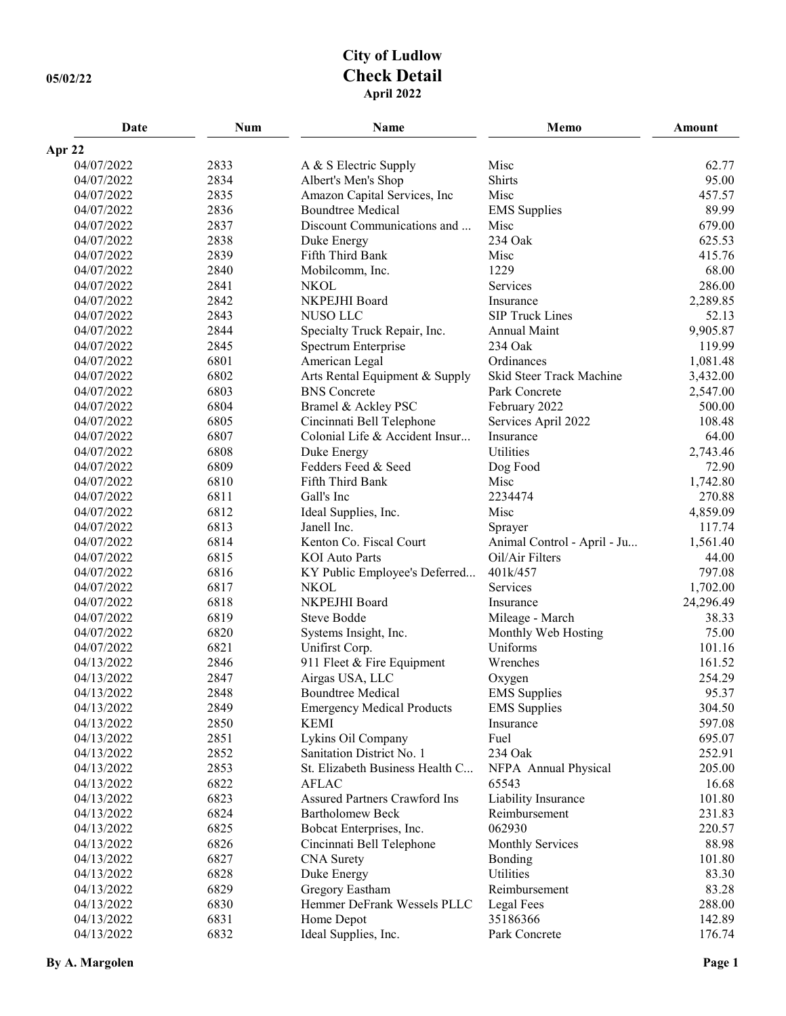## **City of Ludlow 05/02/22 Check Detail April 2022**

| Date       | Num  | Name                              | Memo                        | <b>Amount</b> |
|------------|------|-----------------------------------|-----------------------------|---------------|
| Apr 22     |      |                                   |                             |               |
| 04/07/2022 | 2833 | A & S Electric Supply             | Misc                        | 62.77         |
| 04/07/2022 | 2834 | Albert's Men's Shop               | Shirts                      | 95.00         |
| 04/07/2022 | 2835 | Amazon Capital Services, Inc      | Misc                        | 457.57        |
| 04/07/2022 | 2836 | <b>Boundtree Medical</b>          | <b>EMS</b> Supplies         | 89.99         |
| 04/07/2022 | 2837 | Discount Communications and       | Misc                        | 679.00        |
| 04/07/2022 | 2838 | Duke Energy                       | 234 Oak                     | 625.53        |
| 04/07/2022 | 2839 | Fifth Third Bank                  | Misc                        | 415.76        |
| 04/07/2022 | 2840 | Mobilcomm, Inc.                   | 1229                        | 68.00         |
| 04/07/2022 | 2841 | <b>NKOL</b>                       | Services                    | 286.00        |
| 04/07/2022 | 2842 | NKPEJHI Board                     | Insurance                   | 2,289.85      |
| 04/07/2022 | 2843 | <b>NUSO LLC</b>                   | <b>SIP Truck Lines</b>      | 52.13         |
| 04/07/2022 | 2844 | Specialty Truck Repair, Inc.      | Annual Maint                | 9,905.87      |
| 04/07/2022 | 2845 | Spectrum Enterprise               | 234 Oak                     | 119.99        |
| 04/07/2022 | 6801 | American Legal                    | Ordinances                  | 1,081.48      |
| 04/07/2022 | 6802 | Arts Rental Equipment & Supply    | Skid Steer Track Machine    | 3,432.00      |
| 04/07/2022 | 6803 | <b>BNS</b> Concrete               | Park Concrete               | 2,547.00      |
| 04/07/2022 | 6804 | Bramel & Ackley PSC               | February 2022               | 500.00        |
| 04/07/2022 | 6805 | Cincinnati Bell Telephone         | Services April 2022         | 108.48        |
| 04/07/2022 | 6807 | Colonial Life & Accident Insur    | Insurance                   | 64.00         |
| 04/07/2022 | 6808 | Duke Energy                       | Utilities                   | 2,743.46      |
| 04/07/2022 | 6809 | Fedders Feed & Seed               | Dog Food                    | 72.90         |
| 04/07/2022 | 6810 | Fifth Third Bank                  | Misc                        | 1,742.80      |
| 04/07/2022 | 6811 | Gall's Inc                        | 2234474                     | 270.88        |
| 04/07/2022 | 6812 | Ideal Supplies, Inc.              | Misc                        | 4,859.09      |
| 04/07/2022 | 6813 | Janell Inc.                       | Sprayer                     | 117.74        |
| 04/07/2022 | 6814 | Kenton Co. Fiscal Court           | Animal Control - April - Ju | 1,561.40      |
| 04/07/2022 | 6815 | <b>KOI</b> Auto Parts             | Oil/Air Filters             | 44.00         |
| 04/07/2022 | 6816 | KY Public Employee's Deferred     | 401k/457                    | 797.08        |
| 04/07/2022 | 6817 | <b>NKOL</b>                       | Services                    | 1,702.00      |
| 04/07/2022 | 6818 | NKPEJHI Board                     | Insurance                   | 24,296.49     |
| 04/07/2022 | 6819 | Steve Bodde                       | Mileage - March             | 38.33         |
| 04/07/2022 | 6820 | Systems Insight, Inc.             | Monthly Web Hosting         | 75.00         |
| 04/07/2022 | 6821 | Unifirst Corp.                    | Uniforms                    | 101.16        |
| 04/13/2022 | 2846 | 911 Fleet & Fire Equipment        | Wrenches                    | 161.52        |
| 04/13/2022 | 2847 | Airgas USA, LLC                   | Oxygen                      | 254.29        |
| 04/13/2022 | 2848 | <b>Boundtree Medical</b>          | <b>EMS</b> Supplies         | 95.37         |
| 04/13/2022 | 2849 | <b>Emergency Medical Products</b> | <b>EMS</b> Supplies         | 304.50        |
| 04/13/2022 | 2850 | <b>KEMI</b>                       | Insurance                   | 597.08        |
| 04/13/2022 | 2851 | Lykins Oil Company                | Fuel                        | 695.07        |
| 04/13/2022 | 2852 | Sanitation District No. 1         | 234 Oak                     | 252.91        |
| 04/13/2022 | 2853 | St. Elizabeth Business Health C   | NFPA Annual Physical        | 205.00        |
| 04/13/2022 | 6822 | <b>AFLAC</b>                      | 65543                       | 16.68         |
| 04/13/2022 | 6823 | Assured Partners Crawford Ins     | Liability Insurance         | 101.80        |
| 04/13/2022 | 6824 | <b>Bartholomew Beck</b>           | Reimbursement               | 231.83        |
| 04/13/2022 | 6825 | Bobcat Enterprises, Inc.          | 062930                      | 220.57        |
| 04/13/2022 | 6826 | Cincinnati Bell Telephone         | <b>Monthly Services</b>     | 88.98         |
| 04/13/2022 | 6827 | <b>CNA</b> Surety                 | Bonding                     | 101.80        |
| 04/13/2022 | 6828 | Duke Energy                       | Utilities                   | 83.30         |
| 04/13/2022 | 6829 | Gregory Eastham                   | Reimbursement               | 83.28         |
| 04/13/2022 | 6830 | Hemmer DeFrank Wessels PLLC       | Legal Fees                  | 288.00        |
| 04/13/2022 | 6831 | Home Depot                        | 35186366                    | 142.89        |
| 04/13/2022 | 6832 | Ideal Supplies, Inc.              | Park Concrete               | 176.74        |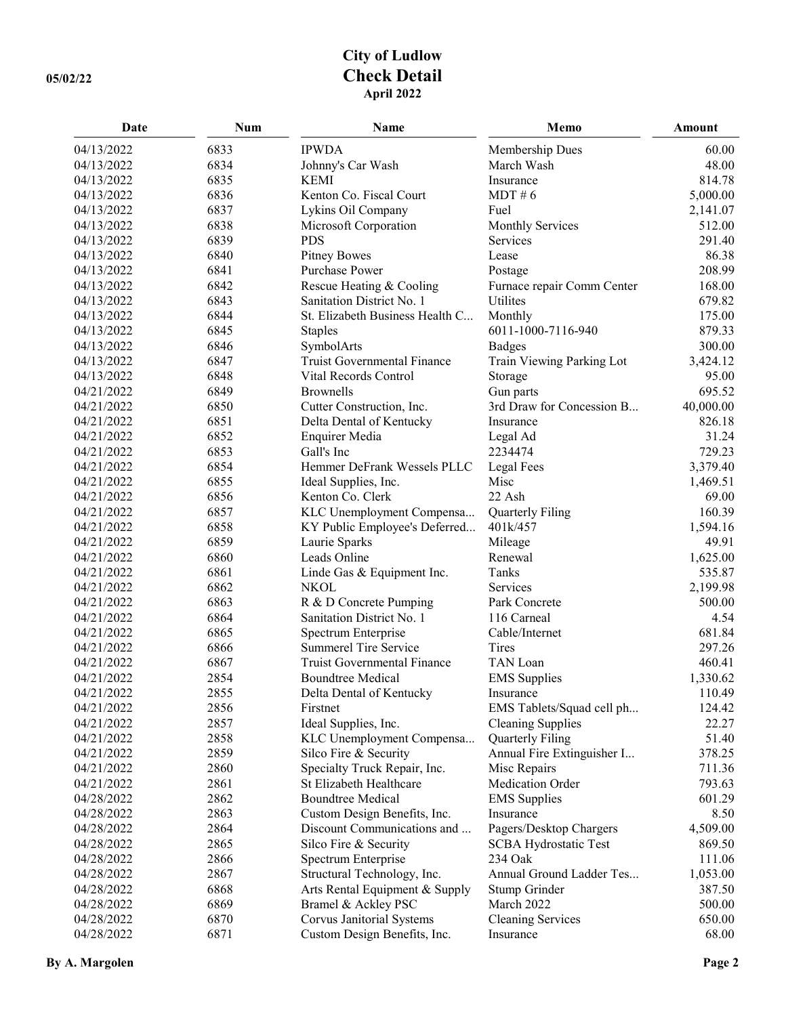## **City of Ludlow 05/02/22 Check Detail April 2022**

| Date       | <b>Num</b> | Name                               | Memo                         | Amount    |
|------------|------------|------------------------------------|------------------------------|-----------|
| 04/13/2022 | 6833       | <b>IPWDA</b>                       | Membership Dues              | 60.00     |
| 04/13/2022 | 6834       | Johnny's Car Wash                  | March Wash                   | 48.00     |
| 04/13/2022 | 6835       | <b>KEMI</b>                        | Insurance                    | 814.78    |
| 04/13/2022 | 6836       | Kenton Co. Fiscal Court            | MDT # 6                      | 5,000.00  |
| 04/13/2022 | 6837       | Lykins Oil Company                 | Fuel                         | 2,141.07  |
| 04/13/2022 | 6838       | Microsoft Corporation              | <b>Monthly Services</b>      | 512.00    |
| 04/13/2022 | 6839       | <b>PDS</b>                         | Services                     | 291.40    |
| 04/13/2022 | 6840       | <b>Pitney Bowes</b>                | Lease                        | 86.38     |
| 04/13/2022 | 6841       | Purchase Power                     | Postage                      | 208.99    |
| 04/13/2022 | 6842       | Rescue Heating & Cooling           | Furnace repair Comm Center   | 168.00    |
| 04/13/2022 | 6843       | Sanitation District No. 1          | Utilites                     | 679.82    |
| 04/13/2022 | 6844       | St. Elizabeth Business Health C    | Monthly                      | 175.00    |
| 04/13/2022 | 6845       | <b>Staples</b>                     | 6011-1000-7116-940           | 879.33    |
| 04/13/2022 | 6846       | SymbolArts                         | <b>Badges</b>                | 300.00    |
| 04/13/2022 | 6847       | <b>Truist Governmental Finance</b> | Train Viewing Parking Lot    | 3,424.12  |
| 04/13/2022 | 6848       | Vital Records Control              | Storage                      | 95.00     |
| 04/21/2022 | 6849       | <b>Brownells</b>                   | Gun parts                    | 695.52    |
| 04/21/2022 | 6850       | Cutter Construction, Inc.          | 3rd Draw for Concession B    | 40,000.00 |
| 04/21/2022 | 6851       | Delta Dental of Kentucky           | Insurance                    | 826.18    |
| 04/21/2022 | 6852       | <b>Enquirer Media</b>              | Legal Ad                     | 31.24     |
| 04/21/2022 | 6853       | Gall's Inc                         | 2234474                      | 729.23    |
| 04/21/2022 | 6854       | Hemmer DeFrank Wessels PLLC        | Legal Fees                   | 3,379.40  |
| 04/21/2022 | 6855       | Ideal Supplies, Inc.               | Misc                         | 1,469.51  |
| 04/21/2022 | 6856       | Kenton Co. Clerk                   | 22 Ash                       | 69.00     |
| 04/21/2022 | 6857       | KLC Unemployment Compensa          | Quarterly Filing             | 160.39    |
| 04/21/2022 | 6858       | KY Public Employee's Deferred      | 401k/457                     | 1,594.16  |
| 04/21/2022 | 6859       | Laurie Sparks                      | Mileage                      | 49.91     |
| 04/21/2022 | 6860       | Leads Online                       | Renewal                      | 1,625.00  |
| 04/21/2022 | 6861       | Linde Gas & Equipment Inc.         | Tanks                        | 535.87    |
| 04/21/2022 | 6862       | <b>NKOL</b>                        | Services                     | 2,199.98  |
| 04/21/2022 | 6863       | R & D Concrete Pumping             | Park Concrete                | 500.00    |
| 04/21/2022 | 6864       | Sanitation District No. 1          | 116 Carneal                  | 4.54      |
| 04/21/2022 | 6865       | Spectrum Enterprise                | Cable/Internet               | 681.84    |
| 04/21/2022 | 6866       | Summerel Tire Service              | Tires                        | 297.26    |
| 04/21/2022 | 6867       | <b>Truist Governmental Finance</b> | TAN Loan                     | 460.41    |
| 04/21/2022 | 2854       | <b>Boundtree Medical</b>           | <b>EMS</b> Supplies          | 1,330.62  |
| 04/21/2022 | 2855       | Delta Dental of Kentucky           | Insurance                    | 110.49    |
| 04/21/2022 | 2856       | Firstnet                           | EMS Tablets/Squad cell ph    | 124.42    |
| 04/21/2022 | 2857       | Ideal Supplies, Inc.               | <b>Cleaning Supplies</b>     | 22.27     |
| 04/21/2022 | 2858       | KLC Unemployment Compensa          | Quarterly Filing             | 51.40     |
| 04/21/2022 | 2859       | Silco Fire & Security              | Annual Fire Extinguisher I   | 378.25    |
| 04/21/2022 | 2860       | Specialty Truck Repair, Inc.       | Misc Repairs                 | 711.36    |
| 04/21/2022 | 2861       | St Elizabeth Healthcare            | Medication Order             | 793.63    |
| 04/28/2022 | 2862       | <b>Boundtree Medical</b>           | <b>EMS</b> Supplies          | 601.29    |
| 04/28/2022 | 2863       | Custom Design Benefits, Inc.       | Insurance                    | 8.50      |
| 04/28/2022 | 2864       | Discount Communications and        | Pagers/Desktop Chargers      | 4,509.00  |
| 04/28/2022 | 2865       | Silco Fire & Security              | <b>SCBA Hydrostatic Test</b> | 869.50    |
| 04/28/2022 | 2866       | Spectrum Enterprise                | 234 Oak                      | 111.06    |
| 04/28/2022 | 2867       | Structural Technology, Inc.        | Annual Ground Ladder Tes     | 1,053.00  |
| 04/28/2022 | 6868       | Arts Rental Equipment & Supply     | Stump Grinder                | 387.50    |
| 04/28/2022 | 6869       | Bramel & Ackley PSC                | March 2022                   | 500.00    |
| 04/28/2022 | 6870       | Corvus Janitorial Systems          | <b>Cleaning Services</b>     | 650.00    |
| 04/28/2022 | 6871       | Custom Design Benefits, Inc.       | Insurance                    | 68.00     |